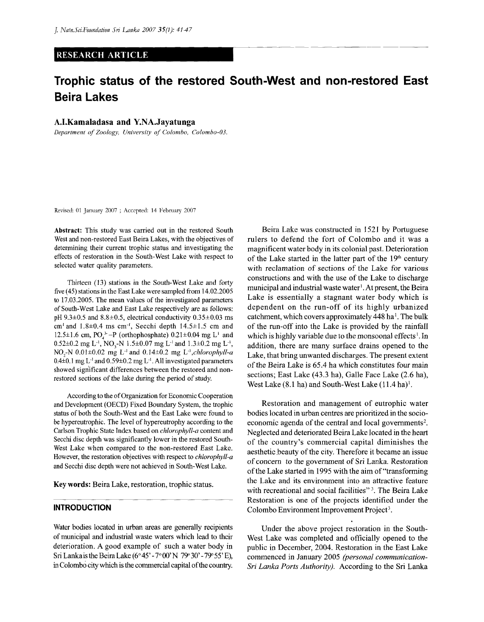#### **RESEARCH ARTICLE**

# Trophic status of the restored South-West and non-restored East **Beira Lakes**

## **A.I.Kamaladasa and Y.NA.Jayatunga**

*Department of Zoology, University of Colombo, Colombo-OS.* 

Revised: 01 January 2007 ; Accepted: 14 February 2007

Abstract: This study was carried out in the restored South West and non-restored East Beira Lakes, with the objectives of determining their current trophic status and investigating the effects of restoration in the South-West Lake with respect to selected water quality parameters.

Thirteen (13) stations in the South-West Lake and forty five (45) stations in the East Lake were sampled from 14.02.2005 to 17.03.2005. The mean values of the investigated parameters of South-West Lake and East Lake respectively are as follows: pH  $9.3\pm0.5$  and  $8.8\pm0.5$ , electrical conductivity  $0.35\pm0.03$  ms cm<sup>1</sup> and  $1.8\pm0.4$  ms cm<sup>-1</sup>, Secchi depth  $14.5\pm1.5$  cm and 12.5 $\pm$ 1.6 cm, PO<sub>4</sub><sup>3</sup>-P (orthophosphate) 0.21 $\pm$ 0.04 mg L<sup>1</sup> and  $0.52\pm0.2$  mg L<sup>-1</sup>, NO<sub>3</sub>-N 1.5 $\pm$ 0.07 mg L<sup>-1</sup> and 1.3 $\pm$ 0.2 mg L<sup>-1</sup>,  $NO<sub>2</sub>~N$  0.01 $\pm$ 0.02 mg L<sup>-1</sup> and 0.14 $\pm$ 0.2 mg L<sup>-1</sup>,*chlorophyll-a*  $0.4\pm0.1$  mg L<sup>-1</sup> and  $0.59\pm0.2$  mg L<sup>-1</sup>. All investigated parameters showed significant differences between the restored and nonrestored sections of the lake during the period of study.

According to the of Organization for Economic Cooperation and Development (OECD) Fixed Boundary System, the trophic status of both the South-West and the East Lake were found to be hypereutrophic. The level of hypereutrophy according to the Carlson Trophic State Index based on *chlorophyll-a* content and Secchi disc depth was significantly lower in the restored South-West Lake when compared to the non-restored East Lake. However, the restoration objectives with respect to *chlorophyll-a*  and Secchi disc depth were not achieved in South-West Lake.

**Key words:** Beira Lake, restoration, trophic status.

### **INTRODUCTION**

Water bodies located in urban areas are generally recipients of municipal and industrial waste waters which lead to their deterioration. A good example of such a water body in SriLankaistheBeiraLake(6°45'-7°00'N 79° 30'-79° 55'E), in Colombo city which is the commercial capital of the country.

Beira Lake was constructed in 1521 by Portuguese rulers to defend the fort of Colombo and it was a magnificent water body in its colonial past. Deterioration of the Lake started in the latter part of the 19<sup>th</sup> century with reclamation of sections of the Lake for various constructions and with the use of the Lake to discharge municipal and industrial waste water<sup>1</sup>. At present, the Beira Lake is essentially a stagnant water body which is dependent on the run-off of its highly urbanized catchment, which covers approximately 448 ha<sup>1</sup>. The bulk of the run-off into the Lake is provided by the rainfall which is highly variable due to the monsoonal effects<sup>1</sup>. In addition, there are many surface drains opened to the Lake, that bring unwanted discharges. The present extent of the Beira Lake is 65.4 ha which constitutes four main sections; East Lake (43.3 ha), Galle Face Lake (2.6 ha), West Lake  $(8.1 \text{ ha})$  and South-West Lake  $(11.4 \text{ ha})^1$ .

Restoration and management of eutrophic water bodies located in urban centres are prioritized in the socioeconomic agenda of the central and local governments<sup>2</sup>. Neglected and deteriorated Beira Lake located in the heart of the country's commercial capital diminishes the aesthetic beauty of the city. Therefore it became an issue of concern to the government of Sri Lanka. Restoration of the Lake started in 1995 with the aim of "transforming the Lake and its environment into an attractive feature with recreational and social facilities"<sup>3</sup>. The Beira Lake Restoration is one of the projects identified under the Colombo Environment Improvement Project<sup>3</sup>.

Under the above project restoration in the South-West Lake was completed and officially opened to the public in December, 2004. Restoration in the East Lake commenced in January 2005 *(personal communication-Sri Lanka Ports Authority).* According to the Sri Lanka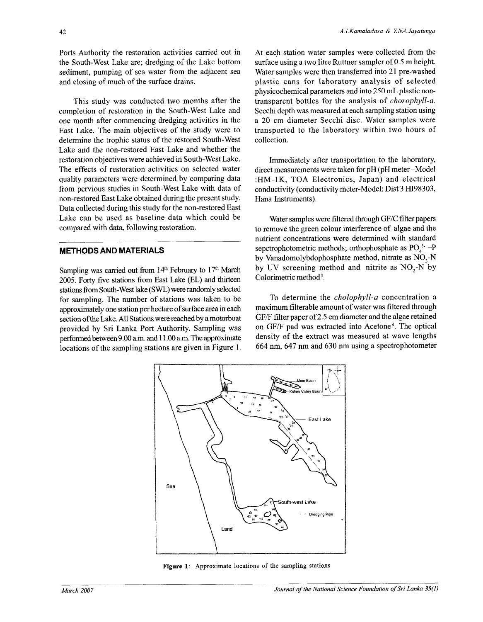Ports Authority the restoration activities carried out in the South-West Lake are; dredging of the Lake bottom sediment, pumping of sea water from the adjacent sea and closing of much of the surface drains.

This study was conducted two months after the completion of restoration in the South-West Lake and one month after commencing dredging activities in the East Lake. The main objectives of the study were to determine the trophic status of the restored South-West Lake and the non-restored East Lake and whether the restoration objectives were achieved in South-West Lake. The effects of restoration activities on selected water quality parameters were determined by comparing data from pervious studies in South-West Lake with data of non-restored East Lake obtained during the present study. Data collected during this study for the non-restored East Lake can be used as baseline data which could be compared with data, following restoration.

### **METHODS AND MATERIALS**

Sampling was carried out from 14<sup>th</sup> February to 17<sup>th</sup> March 2005. Forty five stations from East Lake (EL) and thirteen stations from South-West lake (SWL) were randomly selected for sampling. The number of stations was taken to be approximately one station per hectare of surface area in each section of the Lake. All Stations were reached by a motorboat provided by Sri Lanka Port Authority. Sampling was performed between 9.00 a.m. and 11.00 a.m. The approximate locations of the sampling stations are given in Figure 1.

At each station water samples were collected from the surface using a two litre Ruttner sampler of 0.5 m height. Water samples were then transferred into 21 pre-washed plastic cans for laboratory analysis of selected physicochemical parameters and into 250 mL plastic nontransparent bottles for the analysis of *chorophyll-a.*  Secchi depth was measured at each sampling station using a 20 cm diameter Secchi disc. Water samples were transported to the laboratory within two hours of collection.

Immediately after transportation to the laboratory, direct measurements were taken for pH (pH meter -Model :HM-1K, TOA Electronics, Japan) and electrical conductivity (conductivity meter-Model: Dist 3 HI98303, Hana Instruments).

Water samples were filtered through GF/C filter papers to remove the green colour interference of algae and the nutrient concentrations were determined with standard sepctrophotometric methods; orthophosphate as  $PO_4^3$  -P by Vanadomolybdophosphate method, nitrate as  $NO<sub>3</sub>-N$ by UV screening method and nitrite as  $NO<sub>2</sub>-N$  by Colorimetric method<sup>4</sup>.

To determine the *cholophyll-a* concentration a maximum filterable amount of water was filtered through GF/F filter paper of 2.5 cm diameter and the algae retained on GF/F pad was extracted into Acetone<sup>4</sup>. The optical density of the extract was measured at wave lengths 664 nm, 647 nm and 630 nm using a spectrophotometer



**Figure 1:** Approximate locations of the sampling stations

**42**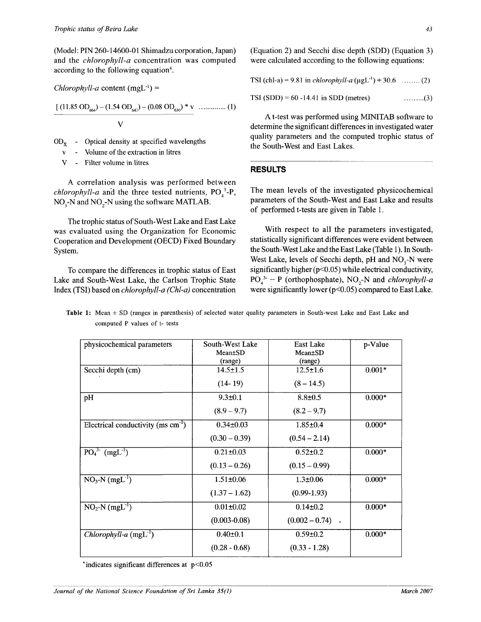(Model: PIN 260-14600-01 Shimadzu corporation, Japan) and the *chlorophyll-a* concentration was computed according to the following equation<sup>4</sup>.

$$
\frac{\left[ (11.85 \text{ OD}_{664}) - (1.54 \text{ OD}_{647}) - (0.08 \text{ OD}_{630}) * v}{V} \dots \dots \dots \dots (1)
$$

- $OD_x$  Optical density at specified wavelengths
	- Volume of the extraction in litres
	- V Filter volume in litres

*Chlorophyll-a* content  $(mgL^{-1}) =$ 

A correlation analysis was performed between *chlorophyll-a* and the three tested nutrients,  $PO_4^3$ -P,  $NO<sub>3</sub>-N$  and  $NO<sub>2</sub>-N$  using the software MATLAB.

The trophic status of South-West Lake and East Lake was evaluated using the Organization for Economic Cooperation and Development (OECD) Fixed Boundary System.

To compare the differences in trophic status of East Lake and South-West Lake, the Carlson Trophic State Index (TSI) based on *chlorophyll-a (Chl-a)* concentration

(Equation 2) and Secchi disc depth (SDD) (Equation 3) were calculated according to the following equations:

|  |  |  |  | TSI (chl-a) = 9.81 in <i>chlorophyll-a</i> ( $\mu gL^{-1}$ ) + 30.6  (2) |  |
|--|--|--|--|--------------------------------------------------------------------------|--|
|--|--|--|--|--------------------------------------------------------------------------|--|

 $TSI (SDD) = 60 - 14.41$  in SDD (metres) (3)

A t-test was performed using MINITAB software to determine the significant differences in investigated water quality parameters and the computed trophic status of the South-West and East Lakes.

### **RESULTS**

The mean levels of the investigated physicochemical parameters of the South-West and East Lake and results of performed t-tests are given in Table 1.

With respect to all the parameters investigated, statistically significant differences were evident between the South-West Lake and the East Lake (Table 1). In South-West Lake, levels of Secchi depth, pH and NO<sub>3</sub>-N were significantly higher (p<0.05) while electrical conductivity,  $PO_4^3$  – P (orthophosphate), NO<sub>2</sub>-N and *chlorophyll-a* were significantly lower (p<0.05) compared to East Lake.

|                               | Table 1: Mean $\pm$ SD (ranges in parenthesis) of selected water quality parameters in South-west Lake and East Lake and |  |  |  |  |
|-------------------------------|--------------------------------------------------------------------------------------------------------------------------|--|--|--|--|
| computed P values of t- tests |                                                                                                                          |  |  |  |  |

| physicochemical parameters                       | South-West Lake  | <b>East Lake</b>   | p-Value  |
|--------------------------------------------------|------------------|--------------------|----------|
|                                                  | Mean±SD          | Mean±SD            |          |
|                                                  | (range)          | (range)            |          |
| Secchi depth (cm)                                | $14.5 \pm 1.5$   | $12.5 \pm 1.6$     | $0.001*$ |
|                                                  | $(14-19)$        | $(8 - 14.5)$       |          |
| pH                                               | $9.3 \pm 0.1$    | $8.8 \pm 0.5$      | $0.000*$ |
|                                                  | $(8.9 - 9.7)$    | $(8.2 - 9.7)$      |          |
| Electrical conductivity ( $ms \text{ cm}^{-1}$ ) | $0.34 \pm 0.03$  | $1.85 \pm 0.4$     | $0.000*$ |
|                                                  | $(0.30 - 0.39)$  | $(0.54 - 2.14)$    |          |
| $\overline{PO_4^{3.} (mgL^1)}$                   | $0.21 \pm 0.03$  | $0.52 \pm 0.2$     | $0.000*$ |
|                                                  | $(0.13 - 0.26)$  | $(0.15 - 0.99)$    |          |
| $NO_3-N (mgL^{-1})$                              | $1.51 \pm 0.06$  | $1.3 \pm 0.06$     | $0.000*$ |
|                                                  | $(1.37 - 1.62)$  | $(0.99-1.93)$      |          |
| $NO2-N$ (mgL <sup>-1</sup> )                     | $0.01 \pm 0.02$  | $0.14 \pm 0.2$     | $0.000*$ |
|                                                  | $(0.003 - 0.08)$ | $(0.002 - 0.74)$ . |          |
| Chlorophyll-a $(mgL^{-1})$                       | $0.40 \pm 0.1$   | $0.59 \pm 0.2$     | $0.000*$ |
|                                                  | $(0.28 - 0.68)$  | $(0.33 - 1.28)$    |          |

 $*$  indicates significant differences at  $p < 0.05$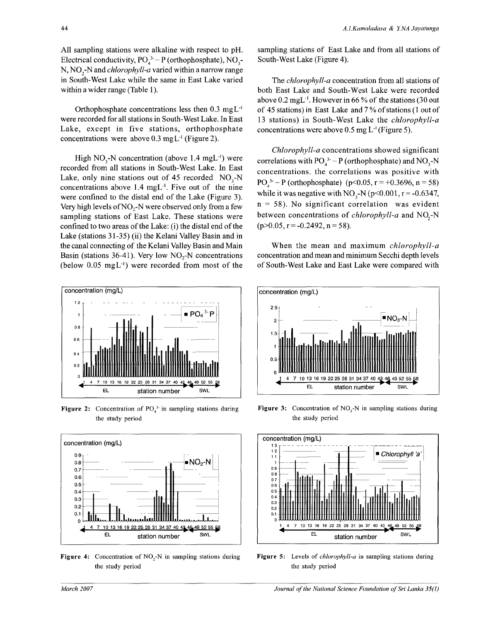All sampling stations were alkaline with respect to pH. Electrical conductivity,  $PO_4^3 - P$  (orthophosphate),  $NO_3$ -N, NO<sub>2</sub>-N and *chlorophyll-a* varied within a narrow range in South-West Lake while the same in East Lake varied within a wider range (Table 1).

Orthophosphate concentrations less then  $0.3 \text{ mgL}^{-1}$ were recorded for all stations in South-West Lake. In East Lake, except in five stations, orthophosphate concentrations were above  $0.3 \text{ mgL}^{-1}$  (Figure 2).

High  $NO<sub>3</sub>$ -N concentration (above 1.4 mgL<sup>-1</sup>) were recorded from all stations in South-West Lake. In East Lake, only nine stations out of 45 recorded  $NO<sub>3</sub>-N$ concentrations above  $1.4 \text{ mgL}^{-1}$ . Five out of the nine were confined to the distal end of the Lake (Figure 3). Very high levels of  $NO<sub>2</sub>-N$  were observed only from a few sampling stations of East Lake. These stations were confined to two areas of the Lake: (i) the distal end of the Lake (stations 31-35) (ii) the Kelani Valley Basin and in the canal connecting of the Kelani Valley Basin and Main Basin (stations 36-41). Very low  $NO<sub>2</sub>$ -N concentrations (below  $0.05 \text{ mgL}^{-1}$ ) were recorded from most of the



**Figure 2:** Concentration of  $PO<sub>4</sub><sup>3</sup>$  in sampling stations during the study period



Figure 4: Concentration of NO<sub>2</sub>-N in sampling stations during the study period

sampling stations of East Lake and from all stations of South-West Lake (Figure 4).

The *chlorophyll-a* concentration from all stations of both East Lake and South-West Lake were recorded above  $0.2 \text{ mgL}^{-1}$ . However in 66 % of the stations (30 out of 45 stations) in East Lake and 7 % of stations (1 out of 13 stations) in South-West Lake the *chlorophyll-a*  concentrations were above  $0.5 \text{ mg L}$ <sup>1</sup> (Figure 5).

*Chlorophyll-a* concentrations showed significant correlations with  $PO_4^{3-} - P$  (orthophosphate) and  $NO_3$ -N concentrations, the correlations was positive with PO<sub>4</sub><sup>3</sup> – P (orthophosphate) (p<0.05, r = +0.3696, n = 58) while it was negative with NO<sub>3</sub>-N (p<0.001, r = -0.6347,  $n = 58$ ). No significant correlation was evident between concentrations of *chlorophyll-a* and NO<sub>2</sub>-N  $(p>0.05, r = -0.2492, n = 58).$ 

When the mean and maximum *chlorophyll-a*  concentration and mean and minimum Secchi depth levels of South-West Lake and East Lake were compared with



**Figure 3:** Concentration of NO<sub>3</sub>-N in sampling stations during the study period



**Figure 5:** Levels of *chlorophyll-a* in sampling stations during the study period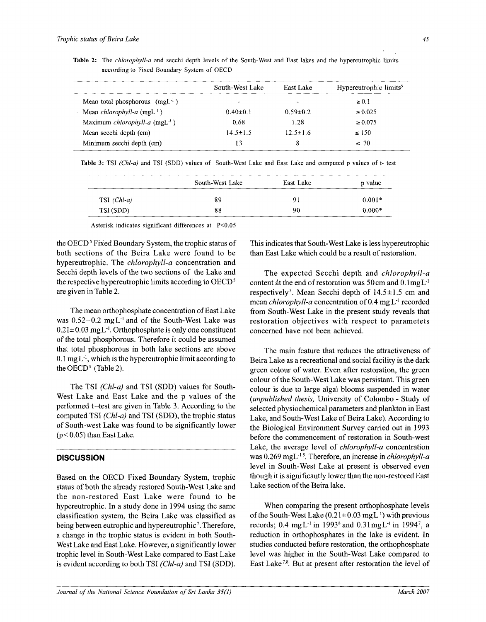|                                                        | South-West Lake | East Lake      | Hypereutrophic limits <sup>5</sup> |
|--------------------------------------------------------|-----------------|----------------|------------------------------------|
| Mean total phosphorous $(mgL^{-1})$                    | ÷               |                | $\geq 0.1$                         |
| $\cdot$ Mean <i>chlorophyll-a</i> (mgL <sup>-1</sup> ) | $0.40 \pm 0.1$  | $0.59 \pm 0.2$ | $\ge 0.025$                        |
| Maximum chlorophyll-a $(mgL^{-1})$                     | 0.68            | 1.28           | $\ge 0.075$                        |
| Mean secchi depth (cm)                                 | $14.5 \pm 1.5$  | $12.5 \pm 1.6$ | $\leq 150$                         |
| Minimum secchi depth (cm)                              | 13              |                | $\leq 70$                          |

Table 2: The *chlorophyll-a* and secchi depth levels of the South-West and East lakes and the hypereutrophic limits according to Fixed Boundary System of OECD

Table 3: TSI (Chl-a) and TSI (SDD) values of South-West Lake and East Lake and computed p values of t- test

|               | South-West Lake | East Lake | p value  |  |
|---------------|-----------------|-----------|----------|--|
| $TSI$ (Chl-a) | 89              | 91        | $0.001*$ |  |
| TSI (SDD)     | 88              | 90        | $0.000*$ |  |

Asterisk indicates significant differences at P<0.05

the OECD<sup>5</sup> Fixed Boundary System, the trophic status of both sections of the Beira Lake were found to be hypereutrophic. The *chlorophyll-a* concentration and Secchi depth levels of the two sections of the Lake and the respective hypereutrophic limits according to OECD<sup>5</sup> are given in Table 2.

The mean orthophosphate concentration of East Lake was  $0.52 \pm 0.2$  mg L<sup>-1</sup> and of the South-West Lake was  $0.21 \pm 0.03$  mgL<sup>-1</sup>. Orthophosphate is only one constituent of the total phosphorous. Therefore it could be assumed that total phosphorous in both lake sections are above  $0.1$  mg L<sup>-1</sup>, which is the hypereutrophic limit according to the OECD<sup>5</sup> (Table 2).

The TSI *(Chl-a)* and TSI (SDD) values for South-West Lake and East Lake and the p values of the performed t-test are given in Table 3. According to the computed TSI *(Chl-a)* and TSI (SDD), the trophic status of South-west Lake was found to be significantly lower  $(p< 0.05)$  than East Lake.

#### **DISCUSSION**

Based on the OECD Fixed Boundary System, trophic status of both the already restored South-West Lake and the non-restored East Lake were found to be hypereutrophic. In a study done in 1994 using the same classification system, the Beira Lake was classified as being between eutrophic and hypereutrophic<sup>7</sup>. Therefore, a change in the trophic status is evident in both South-West Lake and East Lake. However, a significantly lower trophic level in South-West Lake compared to East Lake is evident according to both TSI *(Chl-a)* and TSI (SDD).

This indicates that South-West Lake is less hypereutrophic than East Lake which could be a result of restoration.

The expected Secchi depth and *chlorophyll-a*  content at the end of restoration was 50cm and 0.1mgL<sup>-1</sup> respectively<sup>3</sup>. Mean Secchi depth of  $14.5 \pm 1.5$  cm and mean *chlorophyll-a* concentration of 0.4 mg L<sup>-1</sup> recorded from South-West Lake in the present study reveals that restoration objectives with respect to parametets concerned have not been achieved.

The main feature that reduces the attractiveness of Beira Lake as a recreational and social facility is the dark green colour of water. Even after restoration, the green colour of the South-West Lake was persistant. This green colour is due to large algal blooms suspended in water *{unpublished thesis,* University of Colombo - Study of selected physiochemical parameters and plankton in East Lake, and South-West Lake of Beira Lake). According to the Biological Environment Survey carried out in 1993 before the commencement of restoration in South-west Lake, the average level of *chlorophyll-a* concentration was 0.269 mgL<sup>-18</sup>. Therefore, an increase in *chlorophyll-a* level in South-West Lake at present is observed even though it is significantly lower than the non-restored East Lake section of the Beira lake.

When comparing the present orthophosphate levels of the South-West Lake  $(0.21 \pm 0.03 \text{ mgL}^{-1})$  with previous records; 0.4 mg L<sup>-1</sup> in 1993<sup>8</sup> and 0.31 mg L<sup>-1</sup> in 1994<sup>7</sup>, a reduction in orthophosphates in the lake is evident. In studies conducted before restoration, the orthophosphate level was higher in the South-West Lake compared to East Lake<sup>7,8</sup>. But at present after restoration the level of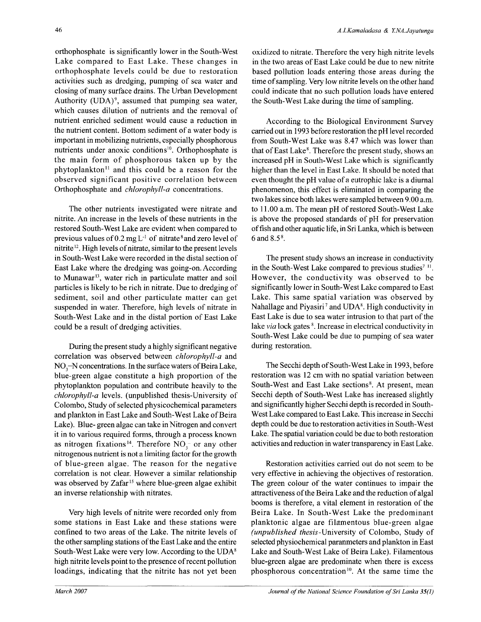orthophosphate is significantly lower in the South-West Lake compared to East Lake. These changes in orthophosphate levels could be due to restoration activities such as dredging, pumping of sea water and closing of many surface drains. The Urban Development Authority (UDA)<sup>9</sup>, assumed that pumping sea water, which causes dilution of nutrients and the removal of nutrient enriched sediment would cause a reduction in the nutrient content. Bottom sediment of a water body is important in mobilizing nutrients, especially phosphorous nutrients under anoxic conditions<sup>10</sup>. Orthophosphate is the main form of phosphorous taken up by the phytoplankton<sup>11</sup> and this could be a reason for the observed significant positive correlation between Orthophosphate and *chlorophyll-a* concentrations.

The other nutrients investigated were nitrate and nitrite. An increase in the levels of these nutrients in the restored South-West Lake are evident when compared to previous values of  $0.2 \text{ mg L}^{-1}$  of nitrate<sup>8</sup> and zero level of nitrite<sup>12</sup>. High levels of nitrate, similar to the present levels in South-West Lake were recorded in the distal section of East Lake where the dredging was going-on. According to Munawar<sup>13</sup>, water rich in particulate matter and soil particles is likely to be rich in nitrate. Due to dredging of sediment, soil and other particulate matter can get suspended in water. Therefore, high levels of nitrate in South-West Lake and in the distal portion of East Lake could be a result of dredging activities.

During the present study a highly significant negative correlation was observed between *chlorophyll-a* and  $NO<sub>3</sub>-N$  concentrations. In the surface waters of Beira Lake, blue-green algae constitute a high proportion of the phytoplankton population and contribute heavily to the *chlorophyll-a* levels, (unpublished thesis-University of Colombo, Study of selected physicochemical parameters and plankton in East Lake and South-West Lake of Beira Lake). Blue- green algae can take in Nitrogen and convert it in to various required forms, through a process known as nitrogen fixations<sup>14</sup>. Therefore  $NO_3^-$  or any other nitrogenous nutrient is not a limiting factor for the growth of blue-green algae. The reason for the negative correlation is not clear. However a similar relationship was observed by Zafar<sup>15</sup> where blue-green algae exhibit an inverse relationship with nitrates.

Very high levels of nitrite were recorded only from some stations in East Lake and these stations were confined to two areas of the Lake. The nitrite levels of the other sampling stations of the East Lake and the entire South-West Lake were very low. According to the UDA<sup>8</sup> high nitrite levels point to the presence of recent pollution loadings, indicating that the nitrite has not yet been

oxidized to nitrate. Therefore the very high nitrite levels in the two areas of East Lake could be due to new nitrite based pollution loads entering those areas during the time of sampling. Very low nitrite levels on the other hand could indicate that no such pollution loads have entered the South-West Lake during the time of sampling.

According to the Biological Environment Survey carried out in 1993 before restoration the pH level recorded from South-West Lake was 8.47 which was lower than that of East Lake<sup>8</sup>. Therefore the present study, shows an increased pH in South-West Lake which is significantly higher than the level in East Lake. It should be noted that even thought the pH value of a eutrophic lake is a diurnal phenomenon, this effect is eliminated in comparing the two lakes since both lakes were sampled between 9.00 a.m. to 11.00 a.m. The mean pH of restored South-West Lake is above the proposed standards of pH for preservation offish and other aquatic life, in Sri Lanka, which is between 6 and  $8.5^{\circ}$ .

The present study shows an increase in conductivity in the South-West Lake compared to previous studies<sup>7 11</sup>. However, the conductivity was observed to be significantly lower in South-West Lake compared to East Lake. This same spatial variation was observed by Nahallage and Piyasiri<sup>7</sup> and UDA<sup>8</sup>. High conductivity in East Lake is due to sea water intrusion to that part of the lake via lock gates <sup>8</sup>. Increase in electrical conductivity in South-West Lake could be due to pumping of sea water during restoration.

The Secchi depth of South-West Lake in 1993, before restoration was 12 cm with no spatial variation between South-West and East Lake sections<sup>8</sup>. At present, mean Secchi depth of South-West Lake has increased slightly and significantly higher Secchi depth is recorded in South-West Lake compared to East Lake. This increase in Secchi depth could be due to restoration activities in South-West Lake. The spatial variation could be due to both restoration activities and reduction in water transparency in East Lake.

Restoration activities carried out do not seem to be very effective in achieving the objectives of restoration. The green colour of the water continues to impair the attractiveness of the Beira Lake and the reduction of algal booms is therefore, a vital element in restoration of the Beira Lake. In South-West Lake the predominant planktonic algae are filamentous blue-green algae *(unpublished thesis-University* of Colombo, Study of selected physiochemical paranmeters and plankton in East Lake and South-West Lake of Beira Lake). Filamentous blue-green algae are predominate when there is excess phosphorous concentration<sup>10</sup>. At the same time the